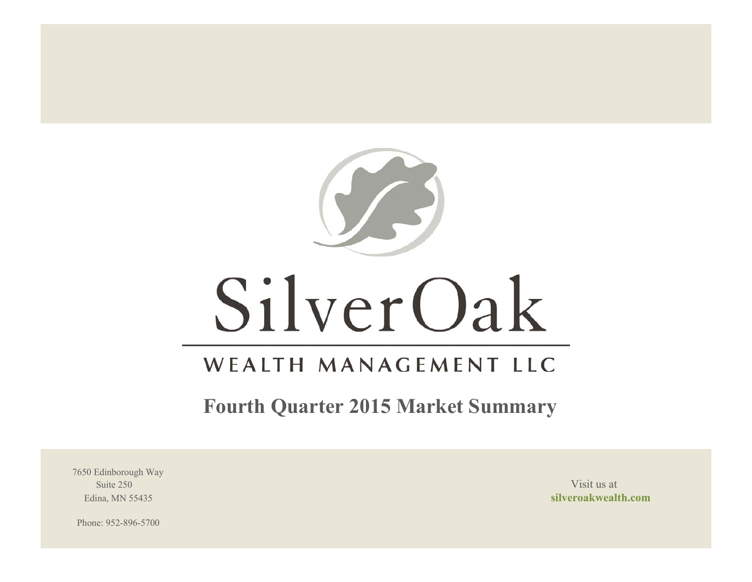

# SilverOak

# WEALTH MANAGEMENT LLC

**Fourth Quarter 2015 Market Summary**

7650 Edinborough Way Suite 250 Visit us at the set of the set of the set of the set of the set of the set of the set of the set of the set of the set of the set of the set of the set of the set of the set of the set of the set of the set of th

Edina, MN 55435 **silveroakwealth.com**

Phone: 952-896-5700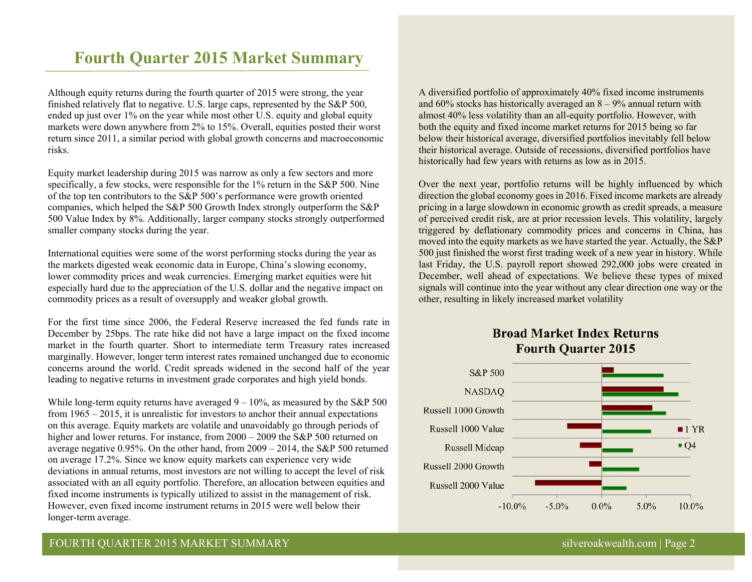# **Fourth Quarter 2015 Market Summary**

Although equity returns during the fourth quarter of 2015 were strong, the year finished relatively flat to negative. U.S. large caps, represented by the S&P 500, ended up just over 1% on the year while most other U.S. equity and global equity markets were down anywhere from 2% to 15%. Overall, equities posted their worst return since 2011, a similar period with global growth concerns and macroeconomic risks.

Equity market leadership during 2015 was narrow as only a few sectors and more specifically, a few stocks, were responsible for the 1% return in the S&P 500. Nine of the top ten contributors to the S&P 500's performance were growth oriented companies, which helped the S&P 500 Growth Index strongly outperform the S&P 500 Value Index by 8%. Additionally, larger company stocks strongly outperformed smaller company stocks during the year.

International equities were some of the worst performing stocks during the year as the markets digested weak economic data in Europe, China's slowing economy, lower commodity prices and weak currencies. Emerging market equities were hit especially hard due to the appreciation of the U.S. dollar and the negative impact on commodity prices as a result of oversupply and weaker global growth.

For the first time since 2006, the Federal Reserve increased the fed funds rate in December by 25bps. The rate hike did not have a large impact on the fixed income market in the fourth quarter. Short to intermediate term Treasury rates increased marginally. However, longer term interest rates remained unchanged due to economic concerns around the world. Credit spreads widened in the second half of the year leading to negative returns in investment grade corporates and high yield bonds.

While long-term equity returns have averaged  $9 - 10\%$ , as measured by the S&P 500 from 1965 – 2015, it is unrealistic for investors to anchor their annual expectations on this average. Equity markets are volatile and unavoidably go through periods of higher and lower returns. For instance, from 2000 – 2009 the S&P 500 returned on average negative 0.95%. On the other hand, from 2009 – 2014, the S&P 500 returned on average 17.2%. Since we know equity markets can experience very wide deviations in annual returns, most investors are not willing to accept the level of risk associated with an all equity portfolio. Therefore, an allocation between equities and fixed income instruments is typically utilized to assist in the management of risk. However, even fixed income instrument returns in 2015 were well below their longer-term average.

A diversified portfolio of approximately 40% fixed income instruments and 60% stocks has historically averaged an  $8 - 9%$  annual return with almost 40% less volatility than an all-equity portfolio. However, with both the equity and fixed income market returns for 2015 being so far below their historical average, diversified portfolios inevitably fell below their historical average. Outside of recessions, diversified portfolios have historically had few years with returns as low as in 2015.

Over the next year, portfolio returns will be highly influenced by which direction the global economy goes in 2016. Fixed income markets are already pricing in a large slowdown in economic growth as credit spreads, a measure of perceived credit risk, are at prior recession levels. This volatility, largely triggered by deflationary commodity prices and concerns in China, has moved into the equity markets as we have started the year. Actually, the S&P 500 just finished the worst first trading week of a new year in history. While last Friday, the U.S. payroll report showed 292,000 jobs were created in December, well ahead of expectations. We believe these types of mixed signals will continue into the year without any clear direction one way or the other, resulting in likely increased market volatility

# **Broad Market Index Returns Fourth Quarter 2015**

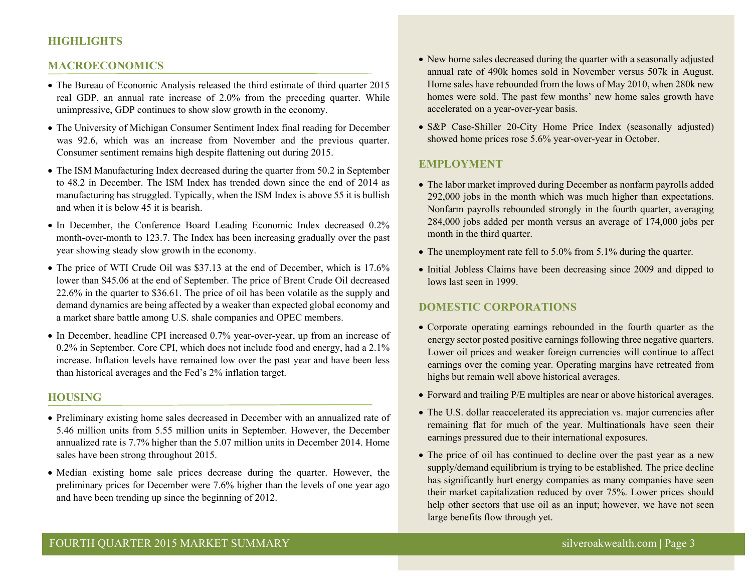# **HIGHLIGHTS**

#### **MACROECONOMICS**

- The Bureau of Economic Analysis released the third estimate of third quarter 2015 real GDP, an annual rate increase of 2.0% from the preceding quarter. While unimpressive, GDP continues to show slow growth in the economy.
- The University of Michigan Consumer Sentiment Index final reading for December was 92.6, which was an increase from November and the previous quarter. Consumer sentiment remains high despite flattening out during 2015.
- The ISM Manufacturing Index decreased during the quarter from 50.2 in September to 48.2 in December. The ISM Index has trended down since the end of 2014 as manufacturing has struggled. Typically, when the ISM Index is above 55 it is bullish and when it is below 45 it is bearish.
- In December, the Conference Board Leading Economic Index decreased 0.2% month-over-month to 123.7. The Index has been increasing gradually over the past year showing steady slow growth in the economy.
- The price of WTI Crude Oil was \$37.13 at the end of December, which is 17.6% lower than \$45.06 at the end of September. The price of Brent Crude Oil decreased 22.6% in the quarter to \$36.61. The price of oil has been volatile as the supply and demand dynamics are being affected by a weaker than expected global economy and a market share battle among U.S. shale companies and OPEC members.
- In December, headline CPI increased 0.7% year-over-year, up from an increase of 0.2% in September. Core CPI, which does not include food and energy, had a 2.1% increase. Inflation levels have remained low over the past year and have been less than historical averages and the Fed's 2% inflation target.

#### **HOUSING**

- Preliminary existing home sales decreased in December with an annualized rate of 5.46 million units from 5.55 million units in September. However, the December annualized rate is 7.7% higher than the 5.07 million units in December 2014. Home sales have been strong throughout 2015.
- Median existing home sale prices decrease during the quarter. However, the preliminary prices for December were 7.6% higher than the levels of one year ago and have been trending up since the beginning of 2012.
- New home sales decreased during the quarter with a seasonally adjusted annual rate of 490k homes sold in November versus 507k in August. Home sales have rebounded from the lows of May 2010, when 280k new homes were sold. The past few months' new home sales growth have accelerated on a year-over-year basis.
- S&P Case-Shiller 20-City Home Price Index (seasonally adjusted) showed home prices rose 5.6% year-over-year in October.

#### **EMPLOYMENT**

- The labor market improved during December as nonfarm payrolls added 292,000 jobs in the month which was much higher than expectations. Nonfarm payrolls rebounded strongly in the fourth quarter, averaging 284,000 jobs added per month versus an average of 174,000 jobs per month in the third quarter.
- The unemployment rate fell to 5.0% from 5.1% during the quarter.
- Initial Jobless Claims have been decreasing since 2009 and dipped to lows last seen in 1999.

#### **DOMESTIC CORPORATIONS**

- Corporate operating earnings rebounded in the fourth quarter as the energy sector posted positive earnings following three negative quarters. Lower oil prices and weaker foreign currencies will continue to affect earnings over the coming year. Operating margins have retreated from highs but remain well above historical averages.
- Forward and trailing P/E multiples are near or above historical averages.
- The U.S. dollar reaccelerated its appreciation vs. major currencies after remaining flat for much of the year. Multinationals have seen their earnings pressured due to their international exposures.
- The price of oil has continued to decline over the past year as a new supply/demand equilibrium is trying to be established. The price decline has significantly hurt energy companies as many companies have seen their market capitalization reduced by over 75%. Lower prices should help other sectors that use oil as an input; however, we have not seen large benefits flow through yet.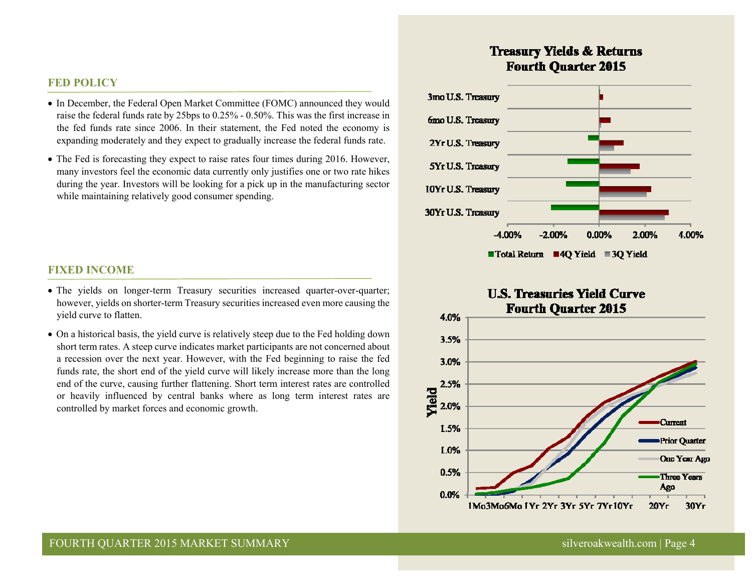### **FED POLICY**

- In December, the Federal Open Market Committee (FOMC) announced they would raise the federal funds rate by 25bps to 0.25% - 0.50%. This was the first increase in the fed funds rate since 2006. In their statement, the Fed noted the economy is expanding moderately and they expect to gradually increase the federal funds rate.
- The Fed is forecasting they expect to raise rates four times during 2016. However, many investors feel the economic data currently only justifies one or two rate hikes during the year. Investors will be looking for a pick up in the manufacturing sector while maintaining relatively good consumer spending.

### **FIXED INCOME**

- The yields on longer-term Treasury securities increased quarter-over-quarter; however, yields on shorter-term Treasury securities increased even more causing the yield curve to flatten.
- On a historical basis, the yield curve is relatively steep due to the Fed holding down short term rates. A steep curve indicates market participants are not concerned about a recession over the next year. However, with the Fed beginning to raise the fed funds rate, the short end of the yield curve will likely increase more than the long end of the curve, causing further flattening. Short term interest rates are controlled or heavily influenced by central banks where as long term interest rates are controlled by market forces and economic growth.

# **Treasury Yields & Returns Fourth Ouarter 2015**



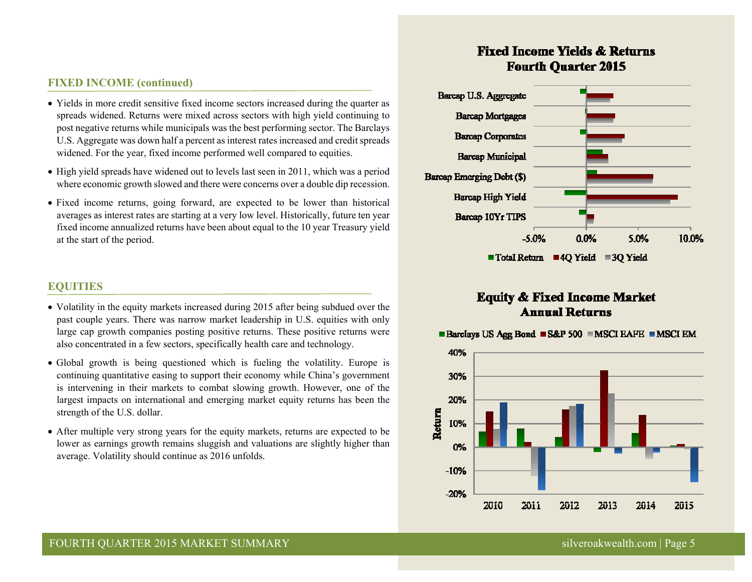# **FIXED INCOME (continued)**

- Yields in more credit sensitive fixed income sectors increased during the quarter as spreads widened. Returns were mixed across sectors with high yield continuing to post negative returns while municipals was the best performing sector. The Barclays U.S. Aggregate was down half a percent as interest rates increased and credit spreads widened. For the year, fixed income performed well compared to equities.
- High yield spreads have widened out to levels last seen in 2011, which was a period where economic growth slowed and there were concerns over a double dip recession.
- Fixed income returns, going forward, are expected to be lower than historical averages as interest rates are starting at a very low level. Historically, future ten year fixed income annualized returns have been about equal to the 10 year Treasury yield at the start of the period.

#### **EQUITIES**

- Volatility in the equity markets increased during 2015 after being subdued over the past couple years. There was narrow market leadership in U.S. equities with only large cap growth companies posting positive returns. These positive returns were also concentrated in a few sectors, specifically health care and technology.
- Global growth is being questioned which is fueling the volatility. Europe is continuing quantitative easing to support their economy while China's government is intervening in their markets to combat slowing growth. However, one of the largest impacts on international and emerging market equity returns has been the strength of the U.S. dollar.
- After multiple very strong years for the equity markets, returns are expected to be lower as earnings growth remains sluggish and valuations are slightly higher than average. Volatility should continue as 2016 unfolds.

# **Fixed Income Yields & Returns Fourth Ouarter 2015**



# **Equity & Fixed Income Market Annual Returns**



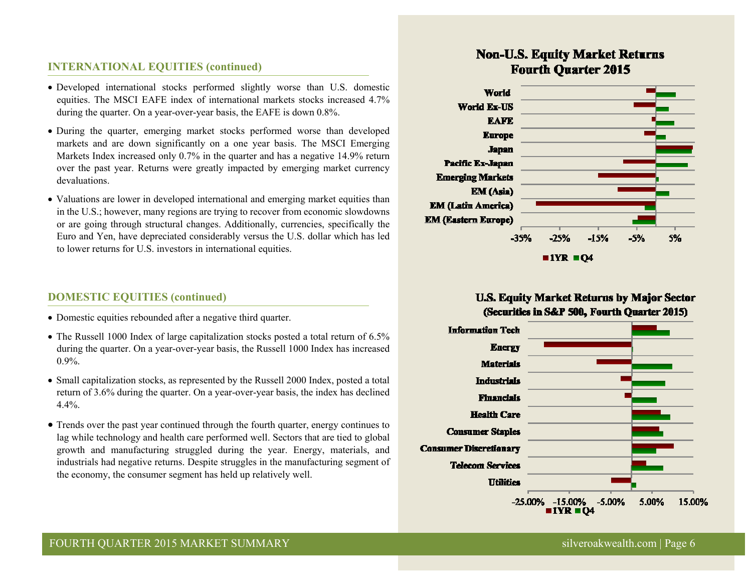# **INTERNATIONAL EQUITIES (continued)**

- Developed international stocks performed slightly worse than U.S. domestic equities. The MSCI EAFE index of international markets stocks increased 4.7% during the quarter. On a year-over-year basis, the EAFE is down 0.8%.
- During the quarter, emerging market stocks performed worse than developed markets and are down significantly on a one year basis. The MSCI Emerging Markets Index increased only 0.7% in the quarter and has a negative 14.9% return over the past year. Returns were greatly impacted by emerging market currency devaluations.
- Valuations are lower in developed international and emerging market equities than in the U.S.; however, many regions are trying to recover from economic slowdowns or are going through structural changes. Additionally, currencies, specifically the Euro and Yen, have depreciated considerably versus the U.S. dollar which has led to lower returns for U.S. investors in international equities.

# **DOMESTIC EQUITIES (continued)**

- Domestic equities rebounded after a negative third quarter.
- The Russell 1000 Index of large capitalization stocks posted a total return of 6.5% during the quarter. On a year-over-year basis, the Russell 1000 Index has increased 0.9%.
- Small capitalization stocks, as represented by the Russell 2000 Index, posted a total return of 3.6% during the quarter. On a year-over-year basis, the index has declined 4.4%.
- Trends over the past year continued through the fourth quarter, energy continues to lag while technology and health care performed well. Sectors that are tied to global growth and manufacturing struggled during the year. Energy, materials, and industrials had negative returns. Despite struggles in the manufacturing segment of the economy, the consumer segment has held up relatively well.

# **Non-U.S. Equity Market Returns Fourth Quarter 2015**



# **U.S. Equity Market Returns by Major Sector** (Securities in S&P 500, Fourth Quarter 2015)